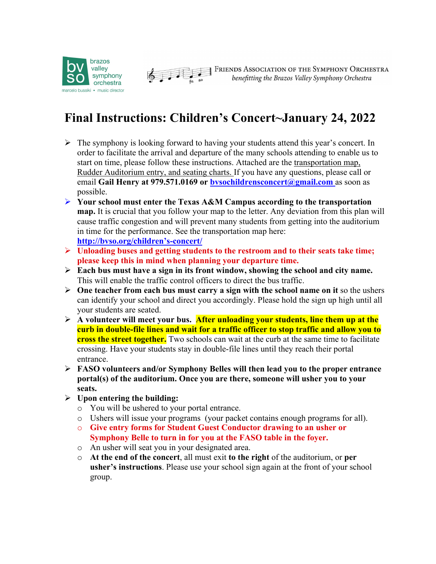



**EXECUTED FRIENDS ASSOCIATION OF THE SYMPHONY ORCHESTRA**<br>benefitting the Brazos Valley Symphony Orchestra

## **Final Instructions: Children's Concert~January 24, 2022**

- $\triangleright$  The symphony is looking forward to having your students attend this year's concert. In order to facilitate the arrival and departure of the many schools attending to enable us to start on time, please follow these instructions. Attached are the transportation map, Rudder Auditorium entry, and seating charts. If you have any questions, please call or email **Gail Henry at 979.571.0169 or bvsochildrensconcert@gmail.com** as soon as possible.
- Ø **Your school must enter the Texas A&M Campus according to the transportation map.** It is crucial that you follow your map to the letter. Any deviation from this plan will cause traffic congestion and will prevent many students from getting into the auditorium in time for the performance. See the transportation map here: **http://bvso.org/children's-concert/**
- Ø **Unloading buses and getting students to the restroom and to their seats take time; please keep this in mind when planning your departure time.**
- Ø **Each bus must have a sign in its front window, showing the school and city name.**  This will enable the traffic control officers to direct the bus traffic.
- $\triangleright$  One teacher from each bus must carry a sign with the school name on it so the ushers can identify your school and direct you accordingly. Please hold the sign up high until all your students are seated.
- Ø **A volunteer will meet your bus. After unloading your students, line them up at the curb in double-file lines and wait for a traffic officer to stop traffic and allow you to cross the street together.** Two schools can wait at the curb at the same time to facilitate crossing. Have your students stay in double-file lines until they reach their portal entrance.
- Ø **FASO volunteers and/or Symphony Belles will then lead you to the proper entrance portal(s) of the auditorium. Once you are there, someone will usher you to your seats.**
- Ø **Upon entering the building:**
	- o You will be ushered to your portal entrance.
	- o Ushers will issue your programs (your packet contains enough programs for all).
	- o **Give entry forms for Student Guest Conductor drawing to an usher or Symphony Belle to turn in for you at the FASO table in the foyer.**
	- o An usher will seat you in your designated area.
	- o **At the end of the concert**, all must exit **to the right** of the auditorium, or **per usher's instructions**. Please use your school sign again at the front of your school group.